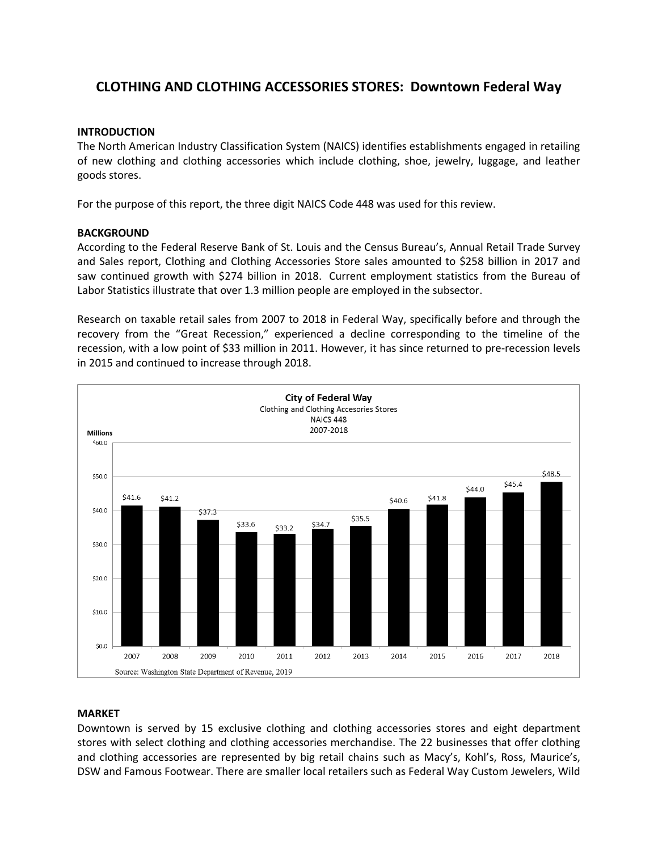# **CLOTHING AND CLOTHING ACCESSORIES STORES: Downtown Federal Way**

#### **INTRODUCTION**

The North American Industry Classification System (NAICS) identifies establishments engaged in retailing of new clothing and clothing accessories which include clothing, shoe, jewelry, luggage, and leather goods stores.

For the purpose of this report, the three digit NAICS Code 448 was used for this review.

#### **BACKGROUND**

According to the Federal Reserve Bank of St. Louis and the Census Bureau's, Annual Retail Trade Survey and Sales report, Clothing and Clothing Accessories Store sales amounted to \$258 billion in 2017 and saw continued growth with \$274 billion in 2018. Current employment statistics from the Bureau of Labor Statistics illustrate that over 1.3 million people are employed in the subsector.

Research on taxable retail sales from 2007 to 2018 in Federal Way, specifically before and through the recovery from the "Great Recession," experienced a decline corresponding to the timeline of the recession, with a low point of \$33 million in 2011. However, it has since returned to pre-recession levels in 2015 and continued to increase through 2018.



#### **MARKET**

Downtown is served by 15 exclusive clothing and clothing accessories stores and eight department stores with select clothing and clothing accessories merchandise. The 22 businesses that offer clothing and clothing accessories are represented by big retail chains such as Macy's, Kohl's, Ross, Maurice's, DSW and Famous Footwear. There are smaller local retailers such as Federal Way Custom Jewelers, Wild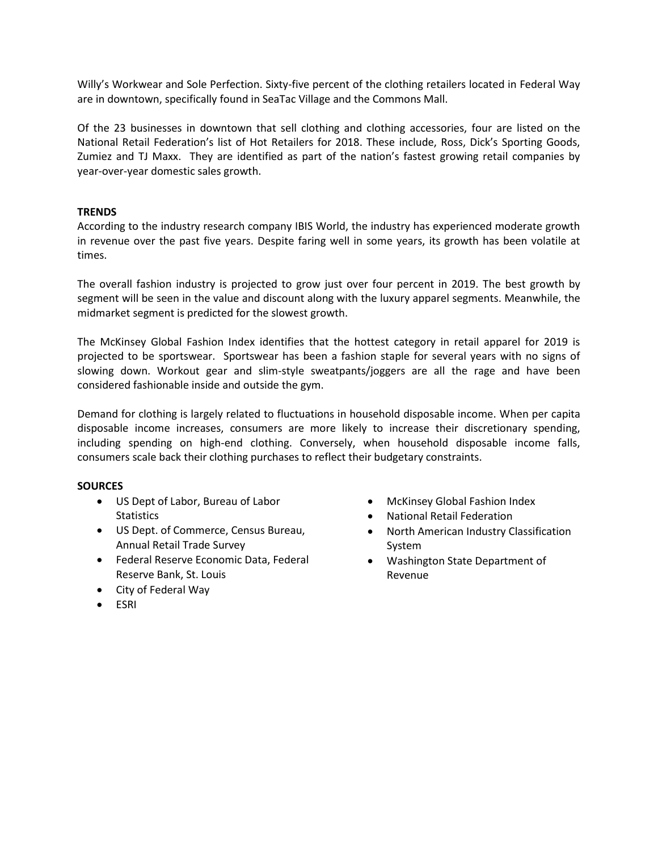Willy's Workwear and Sole Perfection. Sixty-five percent of the clothing retailers located in Federal Way are in downtown, specifically found in SeaTac Village and the Commons Mall.

Of the 23 businesses in downtown that sell clothing and clothing accessories, four are listed on the National Retail Federation's list of Hot Retailers for 2018. These include, Ross, Dick's Sporting Goods, Zumiez and TJ Maxx. They are identified as part of the nation's fastest growing retail companies by year-over-year domestic sales growth.

# **TRENDS**

According to the industry research company IBIS World, the industry has experienced moderate growth in revenue over the past five years. Despite faring well in some years, its growth has been volatile at times.

The overall fashion industry is projected to grow just over four percent in 2019. The best growth by segment will be seen in the value and discount along with the luxury apparel segments. Meanwhile, the midmarket segment is predicted for the slowest growth.

The McKinsey Global Fashion Index identifies that the hottest category in retail apparel for 2019 is projected to be sportswear. Sportswear has been a fashion staple for several years with no signs of slowing down. Workout gear and slim-style sweatpants/joggers are all the rage and have been considered fashionable inside and outside the gym.

Demand for clothing is largely related to fluctuations in household disposable income. When per capita disposable income increases, consumers are more likely to increase their discretionary spending, including spending on high-end clothing. Conversely, when household disposable income falls, consumers scale back their clothing purchases to reflect their budgetary constraints.

# **SOURCES**

- US Dept of Labor, Bureau of Labor **Statistics**
- US Dept. of Commerce, Census Bureau, Annual Retail Trade Survey
- Federal Reserve Economic Data, Federal Reserve Bank, St. Louis
- City of Federal Way
- ESRI
- McKinsey Global Fashion Index
- National Retail Federation
- North American Industry Classification System
- Washington State Department of Revenue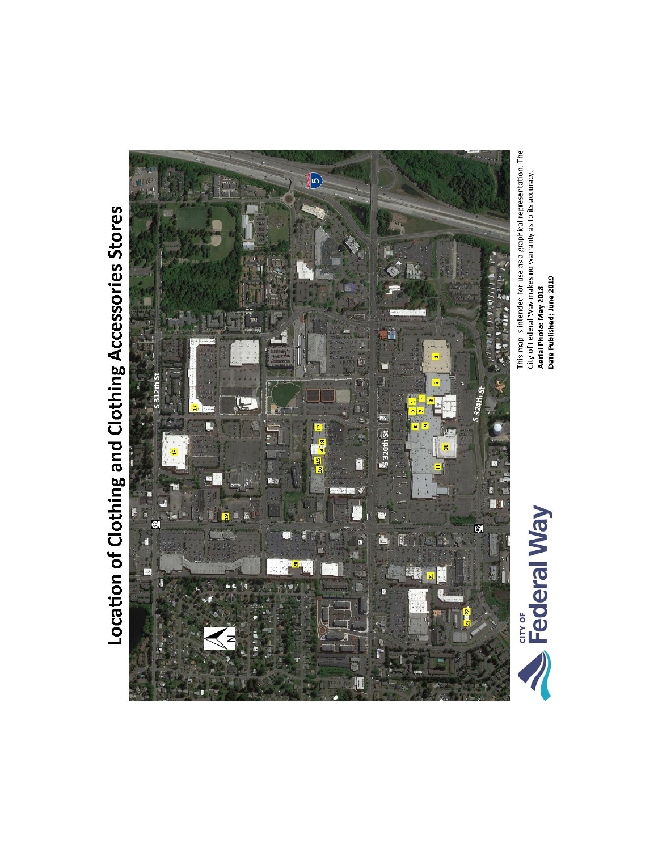# Location of Clothing and Clothing Accessories Stores



This map is intended for use as a graphical representation. The City of Federal Way makes no warranty as to its accuracy.<br>Ae**rial Photo: May 2018**<br>Date Published: June 2019

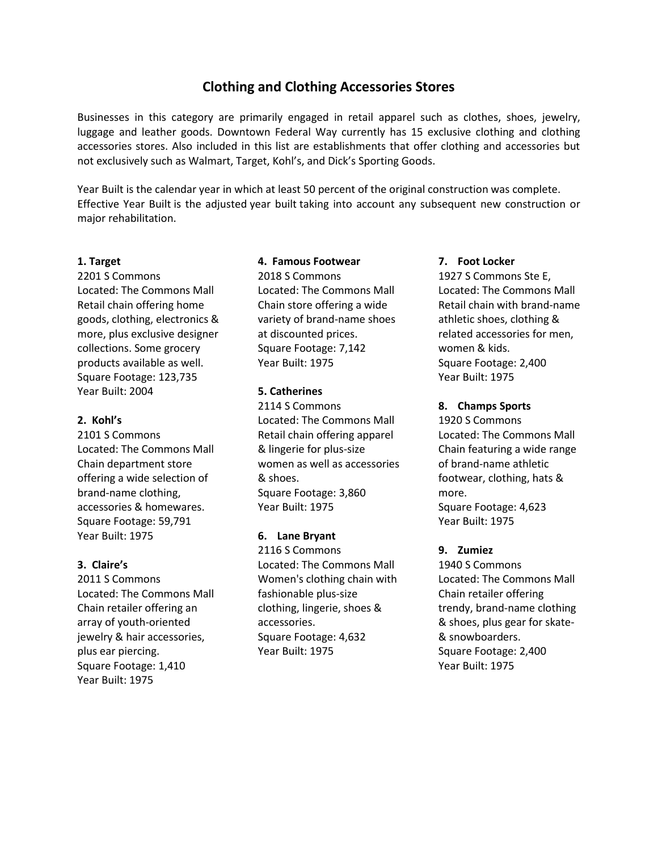# **Clothing and Clothing Accessories Stores**

Businesses in this category are primarily engaged in retail apparel such as clothes, shoes, jewelry, luggage and leather goods. Downtown Federal Way currently has 15 exclusive clothing and clothing accessories stores. Also included in this list are establishments that offer clothing and accessories but not exclusively such as Walmart, Target, Kohl's, and Dick's Sporting Goods.

Year Built is the calendar year in which at least 50 percent of the original construction was complete. Effective Year Built is the adjusted year built taking into account any subsequent new construction or major rehabilitation.

#### **1. Target**

2201 S Commons Located: The Commons Mall Retail chain offering home goods, clothing, electronics & more, plus exclusive designer collections. Some grocery products available as well. Square Footage: 123,735 Year Built: 2004

## **2. Kohl's**

2101 S Commons Located: The Commons Mall Chain department store offering a wide selection of brand-name clothing, accessories & homewares. Square Footage: 59,791 Year Built: 1975

# **3. Claire's**

2011 S Commons Located: The Commons Mall Chain retailer offering an array of youth-oriented jewelry & hair accessories, plus ear piercing. Square Footage: 1,410 Year Built: 1975

#### **4. Famous Footwear**

2018 S Commons Located: The Commons Mall Chain store offering a wide variety of brand-name shoes at discounted prices. Square Footage: 7,142 Year Built: 1975

#### **5. Catherines**

2114 S Commons Located: The Commons Mall Retail chain offering apparel & lingerie for plus-size women as well as accessories & shoes. Square Footage: 3,860 Year Built: 1975

# **6. Lane Bryant**

2116 S Commons Located: The Commons Mall Women's clothing chain with fashionable plus-size clothing, lingerie, shoes & accessories. Square Footage: 4,632 Year Built: 1975

#### **7. Foot Locker**

1927 S Commons Ste E, Located: The Commons Mall Retail chain with brand-name athletic shoes, clothing & related accessories for men, women & kids. Square Footage: 2,400 Year Built: 1975

#### **8. Champs Sports**

1920 S Commons Located: The Commons Mall Chain featuring a wide range of brand-name athletic footwear, clothing, hats & more. Square Footage: 4,623 Year Built: 1975

# **9. Zumiez**

1940 S Commons Located: The Commons Mall Chain retailer offering trendy, brand-name clothing & shoes, plus gear for skate- & snowboarders. Square Footage: 2,400 Year Built: 1975